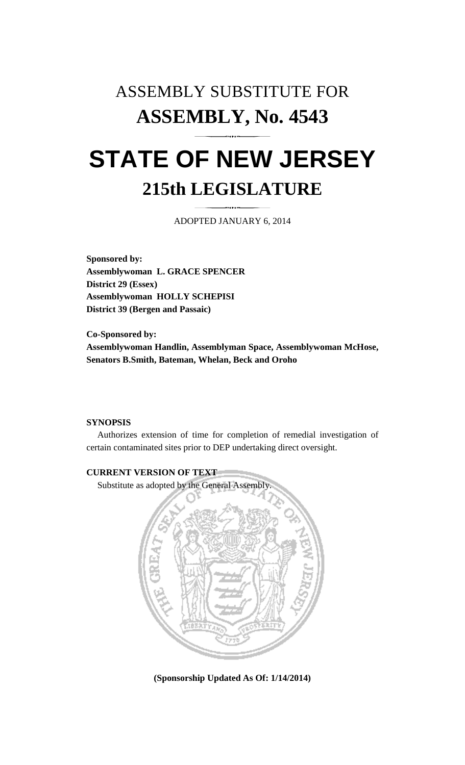## ASSEMBLY SUBSTITUTE FOR **ASSEMBLY, No. 4543 STATE OF NEW JERSEY 215th LEGISLATURE**

ADOPTED JANUARY 6, 2014

**Sponsored by: Assemblywoman L. GRACE SPENCER District 29 (Essex) Assemblywoman HOLLY SCHEPISI District 39 (Bergen and Passaic)** 

**Co-Sponsored by: Assemblywoman Handlin, Assemblyman Space, Assemblywoman McHose, Senators B.Smith, Bateman, Whelan, Beck and Oroho** 

## **SYNOPSIS**

 Authorizes extension of time for completion of remedial investigation of certain contaminated sites prior to DEP undertaking direct oversight.



**(Sponsorship Updated As Of: 1/14/2014)**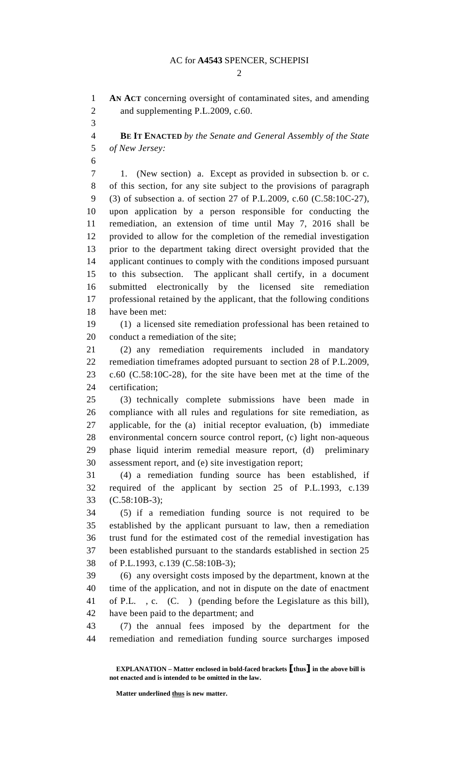## AC for **A4543** SPENCER, SCHEPISI

 $\mathcal{D}_{\mathcal{L}}$ 

1 **AN ACT** concerning oversight of contaminated sites, and amending 2 and supplementing P.L.2009, c.60.

3

4 **BE IT ENACTED** *by the Senate and General Assembly of the State*  5 *of New Jersey:* 

6

7 1. (New section) a. Except as provided in subsection b. or c. 8 of this section, for any site subject to the provisions of paragraph 9 (3) of subsection a. of section 27 of P.L.2009, c.60 (C.58:10C-27), 10 upon application by a person responsible for conducting the 11 remediation, an extension of time until May 7, 2016 shall be 12 provided to allow for the completion of the remedial investigation 13 prior to the department taking direct oversight provided that the 14 applicant continues to comply with the conditions imposed pursuant 15 to this subsection. The applicant shall certify, in a document 16 submitted electronically by the licensed site remediation 17 professional retained by the applicant, that the following conditions 18 have been met:

19 (1) a licensed site remediation professional has been retained to 20 conduct a remediation of the site;

21 (2) any remediation requirements included in mandatory 22 remediation timeframes adopted pursuant to section 28 of P.L.2009, 23 c.60 (C.58:10C-28), for the site have been met at the time of the 24 certification;

25 (3) technically complete submissions have been made in 26 compliance with all rules and regulations for site remediation, as 27 applicable, for the (a) initial receptor evaluation, (b) immediate 28 environmental concern source control report, (c) light non-aqueous 29 phase liquid interim remedial measure report, (d) preliminary 30 assessment report, and (e) site investigation report;

31 (4) a remediation funding source has been established, if 32 required of the applicant by section 25 of P.L.1993, c.139 33 (C.58:10B-3);

34 (5) if a remediation funding source is not required to be 35 established by the applicant pursuant to law, then a remediation 36 trust fund for the estimated cost of the remedial investigation has 37 been established pursuant to the standards established in section 25 38 of P.L.1993, c.139 (C.58:10B-3);

39 (6) any oversight costs imposed by the department, known at the 40 time of the application, and not in dispute on the date of enactment 41 of P.L. , c. (C. ) (pending before the Legislature as this bill), 42 have been paid to the department; and

43 (7) the annual fees imposed by the department for the 44 remediation and remediation funding source surcharges imposed

**EXPLANATION – Matter enclosed in bold-faced brackets** [**thus**] **in the above bill is not enacted and is intended to be omitted in the law.** 

**Matter underlined thus is new matter.**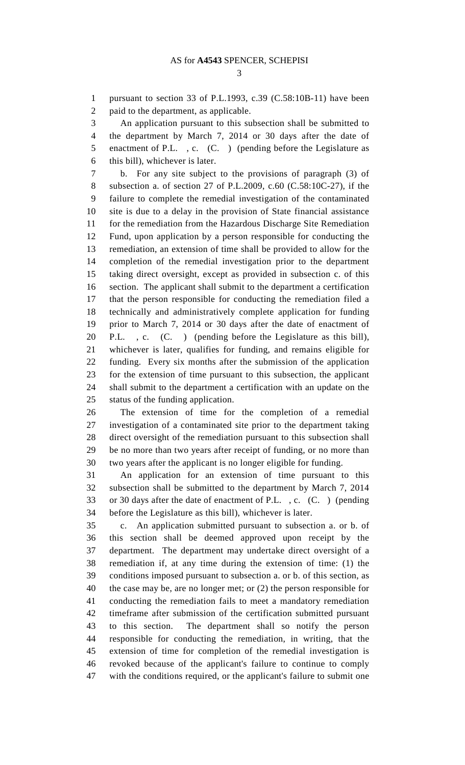3

1 pursuant to section 33 of P.L.1993, c.39 (C.58:10B-11) have been 2 paid to the department, as applicable.

3 An application pursuant to this subsection shall be submitted to 4 the department by March 7, 2014 or 30 days after the date of 5 enactment of P.L., c. (C.) (pending before the Legislature as 6 this bill), whichever is later.

7 b. For any site subject to the provisions of paragraph (3) of 8 subsection a. of section 27 of P.L.2009, c.60 (C.58:10C-27), if the 9 failure to complete the remedial investigation of the contaminated 10 site is due to a delay in the provision of State financial assistance 11 for the remediation from the Hazardous Discharge Site Remediation 12 Fund, upon application by a person responsible for conducting the 13 remediation, an extension of time shall be provided to allow for the 14 completion of the remedial investigation prior to the department 15 taking direct oversight, except as provided in subsection c. of this 16 section. The applicant shall submit to the department a certification 17 that the person responsible for conducting the remediation filed a 18 technically and administratively complete application for funding 19 prior to March 7, 2014 or 30 days after the date of enactment of 20 P.L. , c. (C. ) (pending before the Legislature as this bill), 21 whichever is later, qualifies for funding, and remains eligible for 22 funding. Every six months after the submission of the application 23 for the extension of time pursuant to this subsection, the applicant 24 shall submit to the department a certification with an update on the 25 status of the funding application.

26 The extension of time for the completion of a remedial 27 investigation of a contaminated site prior to the department taking 28 direct oversight of the remediation pursuant to this subsection shall 29 be no more than two years after receipt of funding, or no more than 30 two years after the applicant is no longer eligible for funding.

31 An application for an extension of time pursuant to this 32 subsection shall be submitted to the department by March 7, 2014 33 or 30 days after the date of enactment of P.L. , c. (C. ) (pending 34 before the Legislature as this bill), whichever is later.

35 c. An application submitted pursuant to subsection a. or b. of 36 this section shall be deemed approved upon receipt by the 37 department. The department may undertake direct oversight of a 38 remediation if, at any time during the extension of time: (1) the 39 conditions imposed pursuant to subsection a. or b. of this section, as 40 the case may be, are no longer met; or (2) the person responsible for 41 conducting the remediation fails to meet a mandatory remediation 42 timeframe after submission of the certification submitted pursuant 43 to this section. The department shall so notify the person 44 responsible for conducting the remediation, in writing, that the 45 extension of time for completion of the remedial investigation is 46 revoked because of the applicant's failure to continue to comply 47 with the conditions required, or the applicant's failure to submit one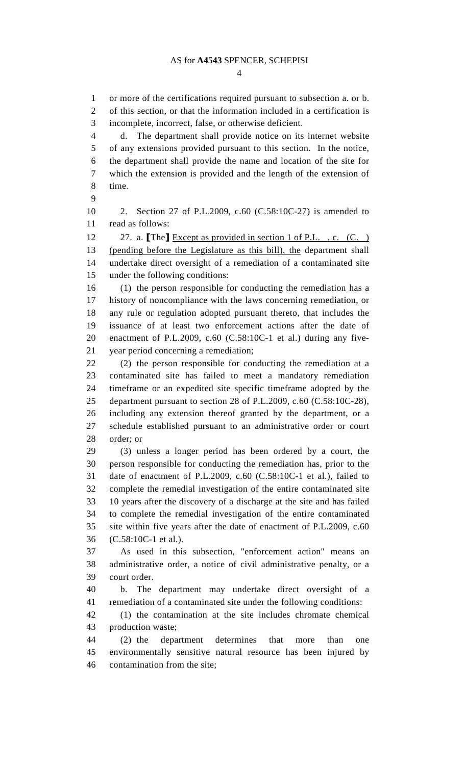4

1 or more of the certifications required pursuant to subsection a. or b. 2 of this section, or that the information included in a certification is 3 incomplete, incorrect, false, or otherwise deficient. 4 d. The department shall provide notice on its internet website 5 of any extensions provided pursuant to this section. In the notice, 6 the department shall provide the name and location of the site for 7 which the extension is provided and the length of the extension of 8 time. 9 10 2. Section 27 of P.L.2009, c.60 (C.58:10C-27) is amended to 11 read as follows: 12 27. a. **[The]** Except as provided in section 1 of P.L., c. (C.) 13 (pending before the Legislature as this bill), the department shall 14 undertake direct oversight of a remediation of a contaminated site 15 under the following conditions: 16 (1) the person responsible for conducting the remediation has a 17 history of noncompliance with the laws concerning remediation, or 18 any rule or regulation adopted pursuant thereto, that includes the 19 issuance of at least two enforcement actions after the date of 20 enactment of P.L.2009, c.60 (C.58:10C-1 et al.) during any five-21 year period concerning a remediation; 22 (2) the person responsible for conducting the remediation at a 23 contaminated site has failed to meet a mandatory remediation 24 timeframe or an expedited site specific timeframe adopted by the 25 department pursuant to section 28 of P.L.2009, c.60 (C.58:10C-28), 26 including any extension thereof granted by the department, or a 27 schedule established pursuant to an administrative order or court 28 order; or 29 (3) unless a longer period has been ordered by a court, the 30 person responsible for conducting the remediation has, prior to the 31 date of enactment of P.L.2009, c.60 (C.58:10C-1 et al.), failed to 32 complete the remedial investigation of the entire contaminated site 33 10 years after the discovery of a discharge at the site and has failed 34 to complete the remedial investigation of the entire contaminated 35 site within five years after the date of enactment of P.L.2009, c.60 36 (C.58:10C-1 et al.). 37 As used in this subsection, "enforcement action" means an 38 administrative order, a notice of civil administrative penalty, or a 39 court order. 40 b. The department may undertake direct oversight of a 41 remediation of a contaminated site under the following conditions: 42 (1) the contamination at the site includes chromate chemical 43 production waste; 44 (2) the department determines that more than one 45 environmentally sensitive natural resource has been injured by 46 contamination from the site;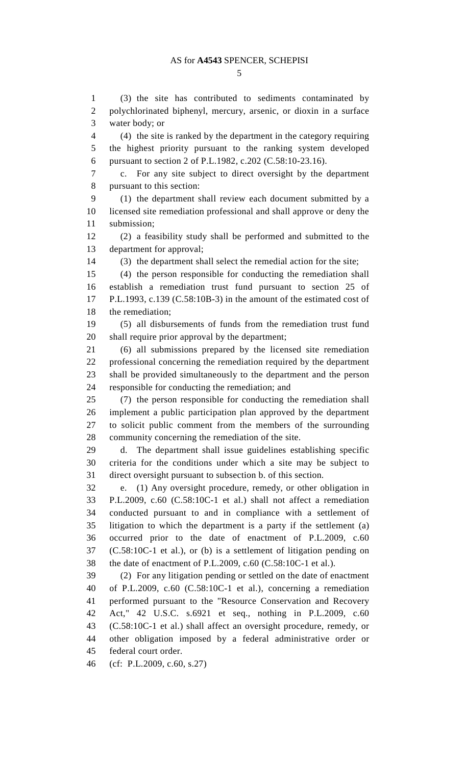1 (3) the site has contributed to sediments contaminated by 2 polychlorinated biphenyl, mercury, arsenic, or dioxin in a surface 3 water body; or

4 (4) the site is ranked by the department in the category requiring 5 the highest priority pursuant to the ranking system developed 6 pursuant to section 2 of P.L.1982, c.202 (C.58:10-23.16).

7 c. For any site subject to direct oversight by the department 8 pursuant to this section:

9 (1) the department shall review each document submitted by a 10 licensed site remediation professional and shall approve or deny the 11 submission;

12 (2) a feasibility study shall be performed and submitted to the 13 department for approval;

14 (3) the department shall select the remedial action for the site;

15 (4) the person responsible for conducting the remediation shall 16 establish a remediation trust fund pursuant to section 25 of 17 P.L.1993, c.139 (C.58:10B-3) in the amount of the estimated cost of 18 the remediation;

19 (5) all disbursements of funds from the remediation trust fund 20 shall require prior approval by the department;

21 (6) all submissions prepared by the licensed site remediation 22 professional concerning the remediation required by the department 23 shall be provided simultaneously to the department and the person 24 responsible for conducting the remediation; and

25 (7) the person responsible for conducting the remediation shall 26 implement a public participation plan approved by the department 27 to solicit public comment from the members of the surrounding 28 community concerning the remediation of the site.

29 d. The department shall issue guidelines establishing specific 30 criteria for the conditions under which a site may be subject to 31 direct oversight pursuant to subsection b. of this section.

32 e. (1) Any oversight procedure, remedy, or other obligation in 33 P.L.2009, c.60 (C.58:10C-1 et al.) shall not affect a remediation 34 conducted pursuant to and in compliance with a settlement of 35 litigation to which the department is a party if the settlement (a) 36 occurred prior to the date of enactment of P.L.2009, c.60 37 (C.58:10C-1 et al.), or (b) is a settlement of litigation pending on 38 the date of enactment of P.L.2009, c.60 (C.58:10C-1 et al.).

39 (2) For any litigation pending or settled on the date of enactment 40 of P.L.2009, c.60 (C.58:10C-1 et al.), concerning a remediation 41 performed pursuant to the "Resource Conservation and Recovery 42 Act," 42 U.S.C. s.6921 et seq., nothing in P.L.2009, c.60 43 (C.58:10C-1 et al.) shall affect an oversight procedure, remedy, or 44 other obligation imposed by a federal administrative order or 45 federal court order.

46 (cf: P.L.2009, c.60, s.27)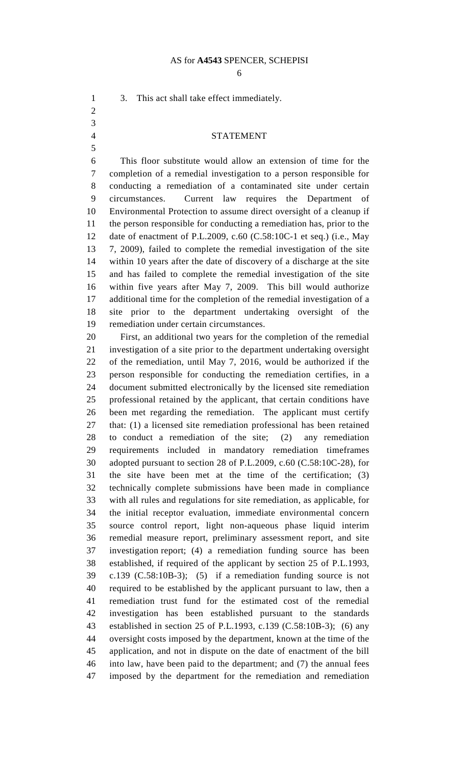6

1 3. This act shall take effect immediately.

2 3

5

## 4 STATEMENT

6 This floor substitute would allow an extension of time for the 7 completion of a remedial investigation to a person responsible for 8 conducting a remediation of a contaminated site under certain 9 circumstances. Current law requires the Department of 10 Environmental Protection to assume direct oversight of a cleanup if 11 the person responsible for conducting a remediation has, prior to the 12 date of enactment of P.L.2009, c.60 (C.58:10C-1 et seq.) (i.e., May 13 7, 2009), failed to complete the remedial investigation of the site 14 within 10 years after the date of discovery of a discharge at the site 15 and has failed to complete the remedial investigation of the site 16 within five years after May 7, 2009. This bill would authorize 17 additional time for the completion of the remedial investigation of a 18 site prior to the department undertaking oversight of the 19 remediation under certain circumstances.

20 First, an additional two years for the completion of the remedial 21 investigation of a site prior to the department undertaking oversight 22 of the remediation, until May 7, 2016, would be authorized if the 23 person responsible for conducting the remediation certifies, in a 24 document submitted electronically by the licensed site remediation 25 professional retained by the applicant, that certain conditions have 26 been met regarding the remediation. The applicant must certify 27 that: (1) a licensed site remediation professional has been retained 28 to conduct a remediation of the site; (2) any remediation 29 requirements included in mandatory remediation timeframes 30 adopted pursuant to section 28 of P.L.2009, c.60 (C.58:10C-28), for 31 the site have been met at the time of the certification; (3) 32 technically complete submissions have been made in compliance 33 with all rules and regulations for site remediation, as applicable, for 34 the initial receptor evaluation, immediate environmental concern 35 source control report, light non-aqueous phase liquid interim 36 remedial measure report, preliminary assessment report, and site 37 investigation report; (4) a remediation funding source has been 38 established, if required of the applicant by section 25 of P.L.1993, 39 c.139 (C.58:10B-3); (5) if a remediation funding source is not 40 required to be established by the applicant pursuant to law, then a 41 remediation trust fund for the estimated cost of the remedial 42 investigation has been established pursuant to the standards 43 established in section 25 of P.L.1993, c.139 (C.58:10B-3); (6) any 44 oversight costs imposed by the department, known at the time of the 45 application, and not in dispute on the date of enactment of the bill 46 into law, have been paid to the department; and (7) the annual fees 47 imposed by the department for the remediation and remediation